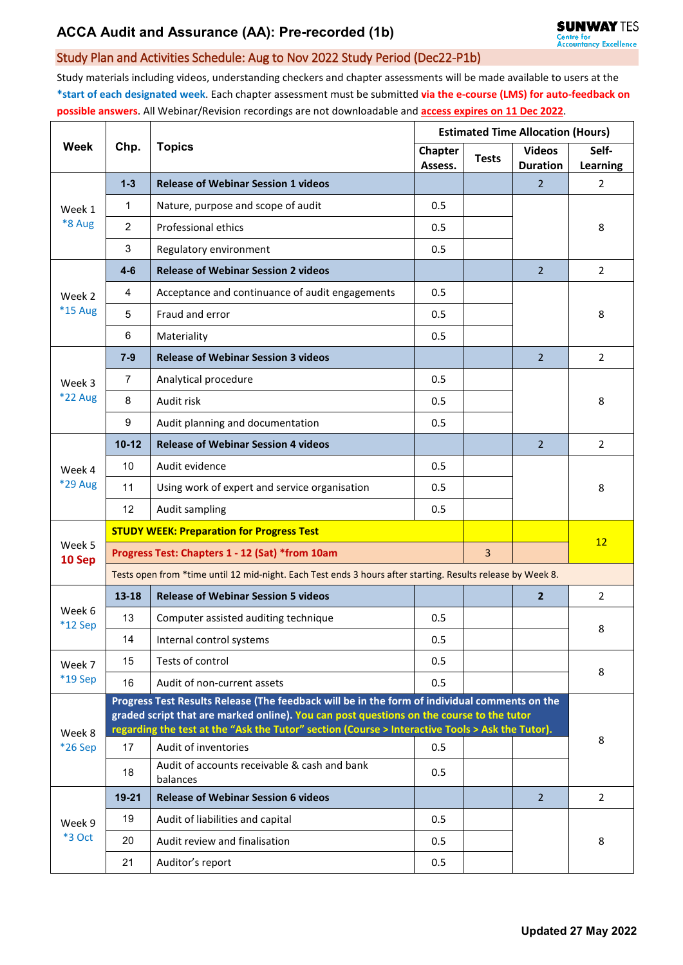# **ACCA Audit and Assurance (AA): Pre-recorded (1b)**

### Study Plan and Activities Schedule: Aug to Nov 2022 Study Period (Dec22-P1b)

Study materials including videos, understanding checkers and chapter assessments will be made available to users at the **\*start of each designated week**. Each chapter assessment must be submitted **via the e-course (LMS) for auto-feedback on possible answers**. All Webinar/Revision recordings are not downloadable and **access expires on 11 Dec 2022**.

| Week              | Chp.                                                                                                                                                                                                                                                                                         | <b>Topics</b>                                            | <b>Estimated Time Allocation (Hours)</b> |                |                                  |                          |  |  |  |
|-------------------|----------------------------------------------------------------------------------------------------------------------------------------------------------------------------------------------------------------------------------------------------------------------------------------------|----------------------------------------------------------|------------------------------------------|----------------|----------------------------------|--------------------------|--|--|--|
|                   |                                                                                                                                                                                                                                                                                              |                                                          | <b>Chapter</b><br>Assess.                | <b>Tests</b>   | <b>Videos</b><br><b>Duration</b> | Self-<br><b>Learning</b> |  |  |  |
| Week 1<br>*8 Aug  | $1 - 3$                                                                                                                                                                                                                                                                                      | <b>Release of Webinar Session 1 videos</b>               |                                          |                | 2                                | $\overline{2}$           |  |  |  |
|                   | $\mathbf{1}$                                                                                                                                                                                                                                                                                 | Nature, purpose and scope of audit                       | 0.5                                      |                |                                  |                          |  |  |  |
|                   | $\overline{2}$                                                                                                                                                                                                                                                                               | Professional ethics                                      | 0.5                                      |                |                                  | 8                        |  |  |  |
|                   | 3                                                                                                                                                                                                                                                                                            | Regulatory environment                                   | 0.5                                      |                |                                  |                          |  |  |  |
| Week 2<br>*15 Aug | $4-6$                                                                                                                                                                                                                                                                                        | <b>Release of Webinar Session 2 videos</b>               |                                          |                | $\overline{2}$                   | $\overline{2}$           |  |  |  |
|                   | 4                                                                                                                                                                                                                                                                                            | Acceptance and continuance of audit engagements          | 0.5                                      |                |                                  | 8                        |  |  |  |
|                   | 5                                                                                                                                                                                                                                                                                            | Fraud and error                                          | 0.5                                      |                |                                  |                          |  |  |  |
|                   | 6                                                                                                                                                                                                                                                                                            | Materiality                                              | 0.5                                      |                |                                  |                          |  |  |  |
| Week 3<br>*22 Aug | $7 - 9$                                                                                                                                                                                                                                                                                      | <b>Release of Webinar Session 3 videos</b>               |                                          |                | $\overline{2}$                   | 2                        |  |  |  |
|                   | 7                                                                                                                                                                                                                                                                                            | Analytical procedure                                     | 0.5                                      |                |                                  | 8                        |  |  |  |
|                   | 8                                                                                                                                                                                                                                                                                            | Audit risk                                               | 0.5                                      |                |                                  |                          |  |  |  |
|                   | 9                                                                                                                                                                                                                                                                                            | Audit planning and documentation                         | 0.5                                      |                |                                  |                          |  |  |  |
|                   | $10 - 12$                                                                                                                                                                                                                                                                                    | <b>Release of Webinar Session 4 videos</b>               |                                          |                | $\overline{2}$                   | $\overline{2}$           |  |  |  |
| Week 4            | 10                                                                                                                                                                                                                                                                                           | Audit evidence                                           | 0.5                                      |                |                                  | 8                        |  |  |  |
| *29 Aug           | 11                                                                                                                                                                                                                                                                                           | Using work of expert and service organisation            | 0.5                                      |                |                                  |                          |  |  |  |
|                   | 12                                                                                                                                                                                                                                                                                           | Audit sampling                                           | 0.5                                      |                |                                  |                          |  |  |  |
|                   | <b>STUDY WEEK: Preparation for Progress Test</b>                                                                                                                                                                                                                                             |                                                          |                                          |                |                                  |                          |  |  |  |
| Week 5<br>10 Sep  | Progress Test: Chapters 1 - 12 (Sat) *from 10am                                                                                                                                                                                                                                              |                                                          |                                          | $\overline{3}$ |                                  | 12                       |  |  |  |
|                   | Tests open from *time until 12 mid-night. Each Test ends 3 hours after starting. Results release by Week 8.                                                                                                                                                                                  |                                                          |                                          |                |                                  |                          |  |  |  |
| Week 6<br>*12 Sep | $13 - 18$                                                                                                                                                                                                                                                                                    | <b>Release of Webinar Session 5 videos</b>               |                                          |                | $\overline{2}$                   | $\overline{2}$           |  |  |  |
|                   | 13                                                                                                                                                                                                                                                                                           | Computer assisted auditing technique                     | 0.5                                      |                |                                  | 8                        |  |  |  |
|                   | 14                                                                                                                                                                                                                                                                                           | Internal control systems                                 | 0.5                                      |                |                                  |                          |  |  |  |
| Week 7<br>*19 Sep | 15                                                                                                                                                                                                                                                                                           | Tests of control                                         | 0.5                                      |                |                                  | 8                        |  |  |  |
|                   | 16                                                                                                                                                                                                                                                                                           | Audit of non-current assets                              | 0.5                                      |                |                                  |                          |  |  |  |
| Week 8<br>*26 Sep | Progress Test Results Release (The feedback will be in the form of individual comments on the<br>graded script that are marked online). You can post questions on the course to the tutor<br>regarding the test at the "Ask the Tutor" section (Course > Interactive Tools > Ask the Tutor). |                                                          |                                          |                |                                  |                          |  |  |  |
|                   | 17                                                                                                                                                                                                                                                                                           | Audit of inventories                                     | 0.5                                      |                |                                  | 8                        |  |  |  |
|                   | 18                                                                                                                                                                                                                                                                                           | Audit of accounts receivable & cash and bank<br>balances | 0.5                                      |                |                                  |                          |  |  |  |
| Week 9<br>*3 Oct  | $19 - 21$                                                                                                                                                                                                                                                                                    | <b>Release of Webinar Session 6 videos</b>               |                                          |                | $\overline{2}$                   | $\overline{2}$           |  |  |  |
|                   | 19                                                                                                                                                                                                                                                                                           | Audit of liabilities and capital                         | 0.5                                      |                |                                  | 8                        |  |  |  |
|                   | 20                                                                                                                                                                                                                                                                                           | Audit review and finalisation                            | 0.5                                      |                |                                  |                          |  |  |  |
|                   | 21                                                                                                                                                                                                                                                                                           | Auditor's report                                         | 0.5                                      |                |                                  |                          |  |  |  |